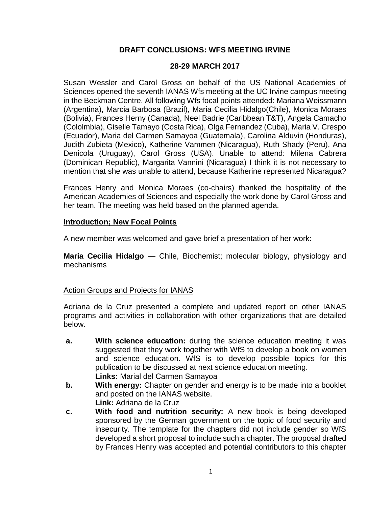### **DRAFT CONCLUSIONS: WFS MEETING IRVINE**

#### **28-29 MARCH 2017**

Susan Wessler and Carol Gross on behalf of the US National Academies of Sciences opened the seventh IANAS Wfs meeting at the UC Irvine campus meeting in the Beckman Centre. All following Wfs focal points attended: Mariana Weissmann (Argentina), Marcia Barbosa (Brazil), Maria Cecilia Hidalgo(Chile), Monica Moraes (Bolivia), Frances Herny (Canada), Neel Badrie (Caribbean T&T), Angela Camacho (Cololmbia), Giselle Tamayo (Costa Rica), Olga Fernandez (Cuba), Maria V. Crespo (Ecuador), Maria del Carmen Samayoa (Guatemala), Carolina Alduvin (Honduras), Judith Zubieta (Mexico), Katherine Vammen (Nicaragua), Ruth Shady (Peru), Ana Denicola (Uruguay), Carol Gross (USA). Unable to attend: Milena Cabrera (Dominican Republic), Margarita Vannini (Nicaragua) I think it is not necessary to mention that she was unable to attend, because Katherine represented Nicaragua?

Frances Henry and Monica Moraes (co-chairs) thanked the hospitality of the American Academies of Sciences and especially the work done by Carol Gross and her team. The meeting was held based on the planned agenda.

#### I**ntroduction; New Focal Points**

A new member was welcomed and gave brief a presentation of her work:

**Maria Cecilia Hidalgo** — Chile, Biochemist; molecular biology, physiology and mechanisms

### Action Groups and Projects for IANAS

Adriana de la Cruz presented a complete and updated report on other IANAS programs and activities in collaboration with other organizations that are detailed below.

- **a. With science education:** during the science education meeting it was suggested that they work together with WfS to develop a book on women and science education. WfS is to develop possible topics for this publication to be discussed at next science education meeting. **Links:** Marial del Carmen Samayoa
- **b. With energy:** Chapter on gender and energy is to be made into a booklet and posted on the IANAS website. **Link:** Adriana de la Cruz
- **c. With food and nutrition security:** A new book is being developed sponsored by the German government on the topic of food security and insecurity. The template for the chapters did not include gender so WfS developed a short proposal to include such a chapter. The proposal drafted by Frances Henry was accepted and potential contributors to this chapter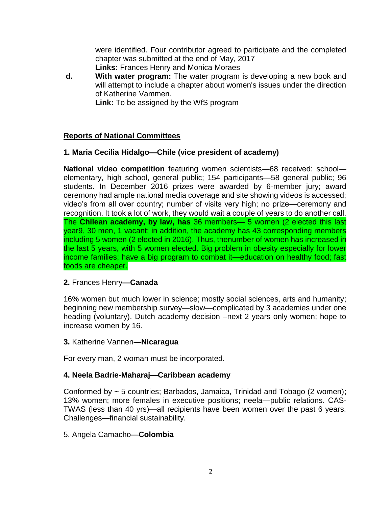were identified. Four contributor agreed to participate and the completed chapter was submitted at the end of May, 2017 **Links:** Frances Henry and Monica Moraes

**d. With water program:** The water program is developing a new book and will attempt to include a chapter about women's issues under the direction of Katherine Vammen.

**Link:** To be assigned by the WfS program

# **Reports of National Committees**

# **1. Maria Cecilia Hidalgo—Chile (vice president of academy)**

**National video competition** featuring women scientists—68 received: school elementary, high school, general public; 154 participants—58 general public; 96 students. In December 2016 prizes were awarded by 6-member jury; award ceremony had ample national media coverage and site showing videos is accessed; video's from all over country; number of visits very high; no prize—ceremony and recognition. It took a lot of work, they would wait a couple of years to do another call. The **Chilean academy, by law, has** 36 members— 5 women (2 elected this last year9, 30 men, 1 vacant; in addition, the academy has 43 corresponding members including 5 women (2 elected in 2016). Thus, thenumber of women has increased in the last 5 years, with 5 women elected. Big problem in obesity especially for lower income families; have a big program to combat it—education on healthy food; fast foods are cheaper.

# **2.** Frances Henry**—Canada**

16% women but much lower in science; mostly social sciences, arts and humanity; beginning new membership survey—slow—complicated by 3 academies under one heading (voluntary). Dutch academy decision –next 2 years only women; hope to increase women by 16.

### **3.** Katherine Vannen**—Nicaragua**

For every man, 2 woman must be incorporated.

# **4. Neela Badrie-Maharaj—Caribbean academy**

Conformed by ~ 5 countries; Barbados, Jamaica, Trinidad and Tobago (2 women); 13% women; more females in executive positions; neela—public relations. CAS-TWAS (less than 40 yrs)—all recipients have been women over the past 6 years. Challenges—financial sustainability.

# 5. Angela Camacho**—Colombia**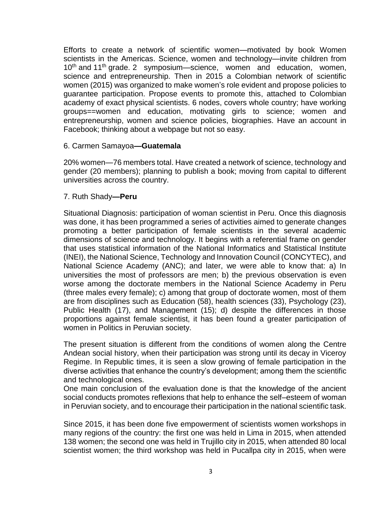Efforts to create a network of scientific women—motivated by book Women scientists in the Americas. Science, women and technology—invite children from 10<sup>th</sup> and 11<sup>th</sup> grade. 2 symposium—science, women and education, women, science and entrepreneurship. Then in 2015 a Colombian network of scientific women (2015) was organized to make women's role evident and propose policies to guarantee participation. Propose events to promote this, attached to Colombian academy of exact physical scientists. 6 nodes, covers whole country; have working groups==women and education, motivating girls to science; women and entrepreneurship, women and science policies, biographies. Have an account in Facebook; thinking about a webpage but not so easy.

#### 6. Carmen Samayoa**—Guatemala**

20% women—76 members total. Have created a network of science, technology and gender (20 members); planning to publish a book; moving from capital to different universities across the country.

#### 7. Ruth Shady**—Peru**

Situational Diagnosis: participation of woman scientist in Peru. Once this diagnosis was done, it has been programmed a series of activities aimed to generate changes promoting a better participation of female scientists in the several academic dimensions of science and technology. It begins with a referential frame on gender that uses statistical information of the National Informatics and Statistical Institute (INEI), the National Science, Technology and Innovation Council (CONCYTEC), and National Science Academy (ANC); and later, we were able to know that: a) In universities the most of professors are men; b) the previous observation is even worse among the doctorate members in the National Science Academy in Peru (three males every female); c) among that group of doctorate women, most of them are from disciplines such as Education (58), health sciences (33), Psychology (23), Public Health (17), and Management (15); d) despite the differences in those proportions against female scientist, it has been found a greater participation of women in Politics in Peruvian society.

The present situation is different from the conditions of women along the Centre Andean social history, when their participation was strong until its decay in Viceroy Regime. In Republic times, it is seen a slow growing of female participation in the diverse activities that enhance the country's development; among them the scientific and technological ones.

One main conclusion of the evaluation done is that the knowledge of the ancient social conducts promotes reflexions that help to enhance the self–esteem of woman in Peruvian society, and to encourage their participation in the national scientific task.

Since 2015, it has been done five empowerment of scientists women workshops in many regions of the country: the first one was held in Lima in 2015, when attended 138 women; the second one was held in Trujillo city in 2015, when attended 80 local scientist women; the third workshop was held in Pucallpa city in 2015, when were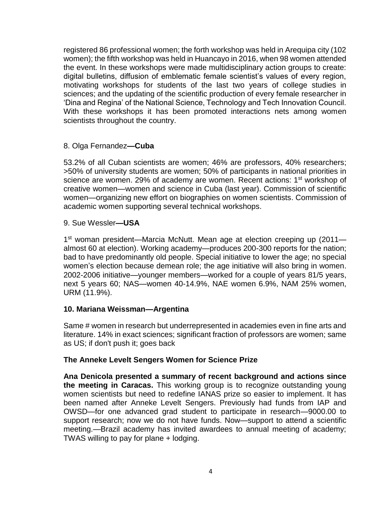registered 86 professional women; the forth workshop was held in Arequipa city (102 women); the fifth workshop was held in Huancayo in 2016, when 98 women attended the event. In these workshops were made multidisciplinary action groups to create: digital bulletins, diffusion of emblematic female scientist's values of every region, motivating workshops for students of the last two years of college studies in sciences; and the updating of the scientific production of every female researcher in 'Dina and Regina' of the National Science, Technology and Tech Innovation Council. With these workshops it has been promoted interactions nets among women scientists throughout the country.

### 8. Olga Fernandez**—Cuba**

53.2% of all Cuban scientists are women; 46% are professors, 40% researchers; >50% of university students are women; 50% of participants in national priorities in science are women. 29% of academy are women. Recent actions: 1<sup>st</sup> workshop of creative women—women and science in Cuba (last year). Commission of scientific women—organizing new effort on biographies on women scientists. Commission of academic women supporting several technical workshops.

9. Sue Wessler**—USA**

1<sup>st</sup> woman president—Marcia McNutt. Mean age at election creeping up (2011 almost 60 at election). Working academy—produces 200-300 reports for the nation; bad to have predominantly old people. Special initiative to lower the age; no special women's election because demean role; the age initiative will also bring in women. 2002-2006 initiative—younger members—worked for a couple of years 81/5 years, next 5 years 60; NAS—women 40-14.9%, NAE women 6.9%, NAM 25% women, URM (11.9%).

# **10. Mariana Weissman—Argentina**

Same # women in research but underrepresented in academies even in fine arts and literature. 14% in exact sciences; significant fraction of professors are women; same as US; if don't push it; goes back

### **The Anneke Levelt Sengers Women for Science Prize**

**Ana Denicola presented a summary of recent background and actions since the meeting in Caracas.** This working group is to recognize outstanding young women scientists but need to redefine IANAS prize so easier to implement. It has been named after Anneke Levelt Sengers. Previously had funds from IAP and OWSD—for one advanced grad student to participate in research—9000.00 to support research; now we do not have funds. Now—support to attend a scientific meeting.—Brazil academy has invited awardees to annual meeting of academy; TWAS willing to pay for plane + lodging.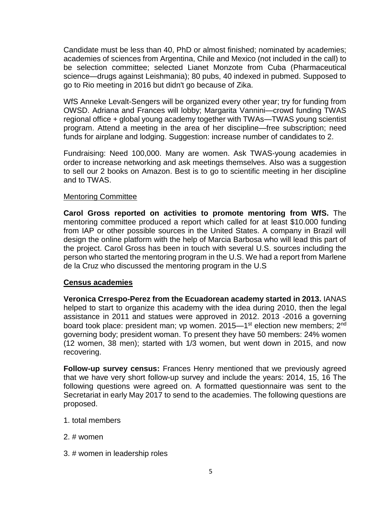Candidate must be less than 40, PhD or almost finished; nominated by academies; academies of sciences from Argentina, Chile and Mexico (not included in the call) to be selection committee; selected Lianet Monzote from Cuba (Pharmaceutical science—drugs against Leishmania); 80 pubs, 40 indexed in pubmed. Supposed to go to Rio meeting in 2016 but didn't go because of Zika.

WfS Anneke Levalt-Sengers will be organized every other year; try for funding from OWSD. Adriana and Frances will lobby; Margarita Vannini—crowd funding TWAS regional office + global young academy together with TWAs—TWAS young scientist program. Attend a meeting in the area of her discipline—free subscription; need funds for airplane and lodging. Suggestion: increase number of candidates to 2.

Fundraising: Need 100,000. Many are women. Ask TWAS-young academies in order to increase networking and ask meetings themselves. Also was a suggestion to sell our 2 books on Amazon. Best is to go to scientific meeting in her discipline and to TWAS.

#### Mentoring Committee

**Carol Gross reported on activities to promote mentoring from WfS.** The mentoring committee produced a report which called for at least \$10.000 funding from IAP or other possible sources in the United States. A company in Brazil will design the online platform with the help of Marcia Barbosa who will lead this part of the project. Carol Gross has been in touch with several U.S. sources including the person who started the mentoring program in the U.S. We had a report from Marlene de la Cruz who discussed the mentoring program in the U.S

### **Census academies**

**Veronica Crrespo-Perez from the Ecuadorean academy started in 2013.** IANAS helped to start to organize this academy with the idea during 2010, then the legal assistance in 2011 and statues were approved in 2012. 2013 -2016 a governing board took place: president man; vp women. 2015—1<sup>st</sup> election new members; 2<sup>nd</sup> governing body; president woman. To present they have 50 members: 24% women (12 women, 38 men); started with 1/3 women, but went down in 2015, and now recovering.

**Follow-up survey census:** Frances Henry mentioned that we previously agreed that we have very short follow-up survey and include the years: 2014, 15, 16 The following questions were agreed on. A formatted questionnaire was sent to the Secretariat in early May 2017 to send to the academies. The following questions are proposed.

- 1. total members
- 2. # women
- 3. # women in leadership roles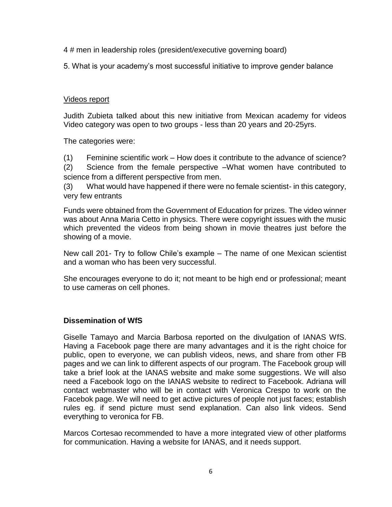4 # men in leadership roles (president/executive governing board)

5. What is your academy's most successful initiative to improve gender balance

#### Videos report

Judith Zubieta talked about this new initiative from Mexican academy for videos Video category was open to two groups - less than 20 years and 20-25yrs.

The categories were:

(1) Feminine scientific work – How does it contribute to the advance of science?

(2) Science from the female perspective –What women have contributed to science from a different perspective from men.

(3) What would have happened if there were no female scientist- in this category, very few entrants

Funds were obtained from the Government of Education for prizes. The video winner was about Anna Maria Cetto in physics. There were copyright issues with the music which prevented the videos from being shown in movie theatres just before the showing of a movie.

New call 201- Try to follow Chile's example – The name of one Mexican scientist and a woman who has been very successful.

She encourages everyone to do it; not meant to be high end or professional; meant to use cameras on cell phones.

### **Dissemination of WfS**

Giselle Tamayo and Marcia Barbosa reported on the divulgation of IANAS WfS. Having a Facebook page there are many advantages and it is the right choice for public, open to everyone, we can publish videos, news, and share from other FB pages and we can link to different aspects of our program. The Facebook group will take a brief look at the IANAS website and make some suggestions. We will also need a Facebook logo on the IANAS website to redirect to Facebook. Adriana will contact webmaster who will be in contact with Veronica Crespo to work on the Facebok page. We will need to get active pictures of people not just faces; establish rules eg. if send picture must send explanation. Can also link videos. Send everything to veronica for FB.

Marcos Cortesao recommended to have a more integrated view of other platforms for communication. Having a website for IANAS, and it needs support.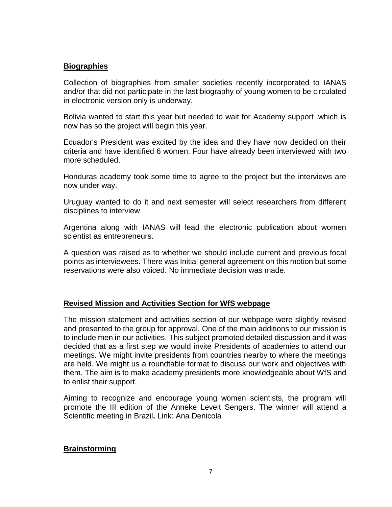## **Biographies**

Collection of biographies from smaller societies recently incorporated to IANAS and/or that did not participate in the last biography of young women to be circulated in electronic version only is underway.

Bolivia wanted to start this year but needed to wait for Academy support .which is now has so the project will begin this year.

Ecuador's President was excited by the idea and they have now decided on their criteria and have identified 6 women. Four have already been interviewed with two more scheduled.

Honduras academy took some time to agree to the project but the interviews are now under way.

Uruguay wanted to do it and next semester will select researchers from different disciplines to interview.

Argentina along with IANAS will lead the electronic publication about women scientist as entrepreneurs.

A question was raised as to whether we should include current and previous focal points as interviewees. There was Initial general agreement on this motion but some reservations were also voiced. No immediate decision was made.

### **Revised Mission and Activities Section for WfS webpage**

The mission statement and activities section of our webpage were slightly revised and presented to the group for approval. One of the main additions to our mission is to include men in our activities. This subject promoted detailed discussion and it was decided that as a first step we would invite Presidents of academies to attend our meetings. We might invite presidents from countries nearby to where the meetings are held. We might us a roundtable format to discuss our work and objectives with them. The aim is to make academy presidents more knowledgeable about WfS and to enlist their support.

Aiming to recognize and encourage young women scientists, the program will promote the III edition of the Anneke Levelt Sengers. The winner will attend a Scientific meeting in Brazil**.** Link: Ana Denicola

# **Brainstorming**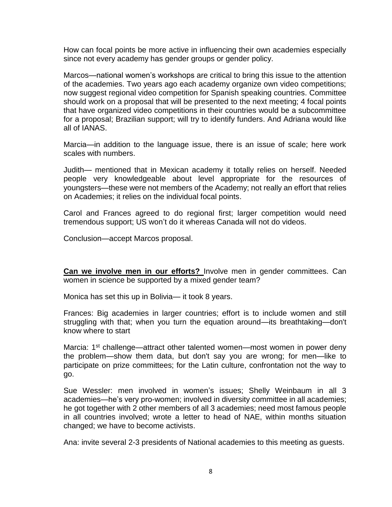How can focal points be more active in influencing their own academies especially since not every academy has gender groups or gender policy.

Marcos—national women's workshops are critical to bring this issue to the attention of the academies. Two years ago each academy organize own video competitions; now suggest regional video competition for Spanish speaking countries. Committee should work on a proposal that will be presented to the next meeting; 4 focal points that have organized video competitions in their countries would be a subcommittee for a proposal; Brazilian support; will try to identify funders. And Adriana would like all of IANAS.

Marcia—in addition to the language issue, there is an issue of scale; here work scales with numbers.

Judith— mentioned that in Mexican academy it totally relies on herself. Needed people very knowledgeable about level appropriate for the resources of youngsters—these were not members of the Academy; not really an effort that relies on Academies; it relies on the individual focal points.

Carol and Frances agreed to do regional first; larger competition would need tremendous support; US won't do it whereas Canada will not do videos.

Conclusion—accept Marcos proposal.

**Can we involve men in our efforts?** Involve men in gender committees. Can women in science be supported by a mixed gender team?

Monica has set this up in Bolivia— it took 8 years.

Frances: Big academies in larger countries; effort is to include women and still struggling with that; when you turn the equation around—its breathtaking—don't know where to start

Marcia: 1<sup>st</sup> challenge—attract other talented women—most women in power deny the problem—show them data, but don't say you are wrong; for men—like to participate on prize committees; for the Latin culture, confrontation not the way to go.

Sue Wessler: men involved in women's issues; Shelly Weinbaum in all 3 academies—he's very pro-women; involved in diversity committee in all academies; he got together with 2 other members of all 3 academies; need most famous people in all countries involved; wrote a letter to head of NAE, within months situation changed; we have to become activists.

Ana: invite several 2-3 presidents of National academies to this meeting as guests.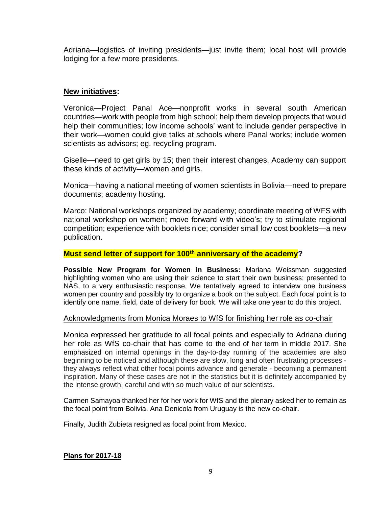Adriana—logistics of inviting presidents—just invite them; local host will provide lodging for a few more presidents.

## **New initiatives:**

Veronica—Project Panal Ace—nonprofit works in several south American countries—work with people from high school; help them develop projects that would help their communities; low income schools' want to include gender perspective in their work—women could give talks at schools where Panal works; include women scientists as advisors; eg. recycling program.

Giselle—need to get girls by 15; then their interest changes. Academy can support these kinds of activity—women and girls.

Monica—having a national meeting of women scientists in Bolivia—need to prepare documents; academy hosting.

Marco: National workshops organized by academy; coordinate meeting of WFS with national workshop on women; move forward with video's; try to stimulate regional competition; experience with booklets nice; consider small low cost booklets—a new publication.

#### **Must send letter of support for 100th anniversary of the academy?**

**Possible New Program for Women in Business:** Mariana Weissman suggested highlighting women who are using their science to start their own business; presented to NAS, to a very enthusiastic response. We tentatively agreed to interview one business women per country and possibly try to organize a book on the subject. Each focal point is to identify one name, field, date of delivery for book. We will take one year to do this project.

#### Acknowledgments from Monica Moraes to WfS for finishing her role as co-chair

Monica expressed her gratitude to all focal points and especially to Adriana during her role as WfS co-chair that has come to the end of her term in middle 2017. She emphasized on internal openings in the day-to-day running of the academies are also beginning to be noticed and although these are slow, long and often frustrating processes they always reflect what other focal points advance and generate - becoming a permanent inspiration. Many of these cases are not in the statistics but it is definitely accompanied by the intense growth, careful and with so much value of our scientists.

Carmen Samayoa thanked her for her work for WfS and the plenary asked her to remain as the focal point from Bolivia. Ana Denicola from Uruguay is the new co-chair.

Finally, Judith Zubieta resigned as focal point from Mexico.

#### **Plans for 2017-18**